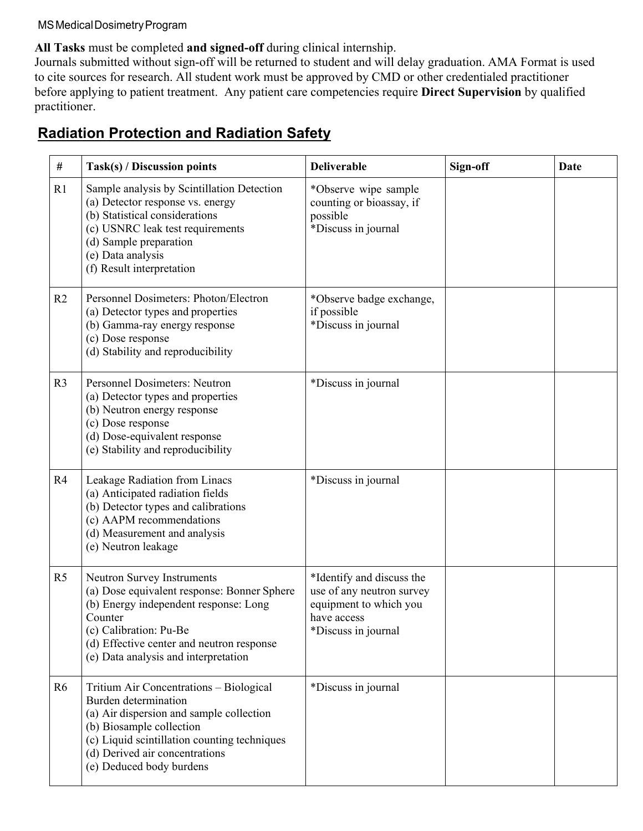#### **All Tasks** must be completed **and signed-off** during clinical internship.

Journals submitted without sign-off will be returned to student and will delay graduation. AMA Format is used to cite sources for research. All student work must be approved by CMD or other credentialed practitioner before applying to patient treatment. Any patient care competencies require **Direct Supervision** by qualified practitioner.

### **Radiation Protection and Radiation Safety**

| #              | Task(s) / Discussion points                                                                                                                                                                                                                           | <b>Deliverable</b>                                                                                                     | Sign-off | Date |
|----------------|-------------------------------------------------------------------------------------------------------------------------------------------------------------------------------------------------------------------------------------------------------|------------------------------------------------------------------------------------------------------------------------|----------|------|
| R1             | Sample analysis by Scintillation Detection<br>(a) Detector response vs. energy<br>(b) Statistical considerations<br>(c) USNRC leak test requirements<br>(d) Sample preparation<br>(e) Data analysis<br>(f) Result interpretation                      | *Observe wipe sample<br>counting or bioassay, if<br>possible<br>*Discuss in journal                                    |          |      |
| R <sub>2</sub> | Personnel Dosimeters: Photon/Electron<br>(a) Detector types and properties<br>(b) Gamma-ray energy response<br>(c) Dose response<br>(d) Stability and reproducibility                                                                                 | *Observe badge exchange,<br>if possible<br>*Discuss in journal                                                         |          |      |
| R <sub>3</sub> | <b>Personnel Dosimeters: Neutron</b><br>(a) Detector types and properties<br>(b) Neutron energy response<br>(c) Dose response<br>(d) Dose-equivalent response<br>(e) Stability and reproducibility                                                    | *Discuss in journal                                                                                                    |          |      |
| R4             | Leakage Radiation from Linacs<br>(a) Anticipated radiation fields<br>(b) Detector types and calibrations<br>(c) AAPM recommendations<br>(d) Measurement and analysis<br>(e) Neutron leakage                                                           | *Discuss in journal                                                                                                    |          |      |
| R <sub>5</sub> | Neutron Survey Instruments<br>(a) Dose equivalent response: Bonner Sphere<br>(b) Energy independent response: Long<br>Counter<br>(c) Calibration: Pu-Be<br>(d) Effective center and neutron response<br>(e) Data analysis and interpretation          | *Identify and discuss the<br>use of any neutron survey<br>equipment to which you<br>have access<br>*Discuss in journal |          |      |
| R6             | Tritium Air Concentrations - Biological<br>Burden determination<br>(a) Air dispersion and sample collection<br>(b) Biosample collection<br>(c) Liquid scintillation counting techniques<br>(d) Derived air concentrations<br>(e) Deduced body burdens | *Discuss in journal                                                                                                    |          |      |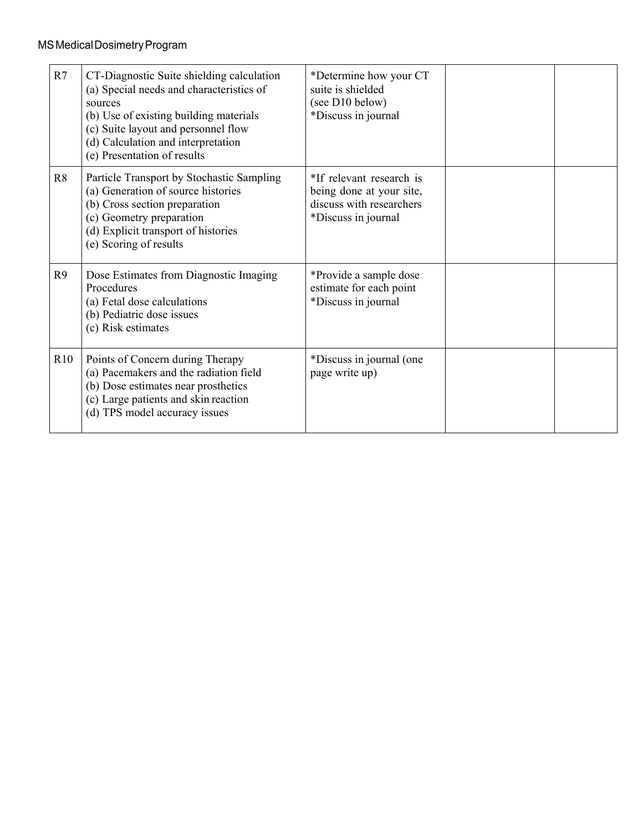| R7  | CT-Diagnostic Suite shielding calculation<br>(a) Special needs and characteristics of<br>sources<br>(b) Use of existing building materials<br>(c) Suite layout and personnel flow<br>(d) Calculation and interpretation<br>(e) Presentation of results | *Determine how your CT<br>suite is shielded<br>(see D10 below)<br>*Discuss in journal                   |  |
|-----|--------------------------------------------------------------------------------------------------------------------------------------------------------------------------------------------------------------------------------------------------------|---------------------------------------------------------------------------------------------------------|--|
| R8  | Particle Transport by Stochastic Sampling<br>(a) Generation of source histories<br>(b) Cross section preparation<br>(c) Geometry preparation<br>(d) Explicit transport of histories<br>(e) Scoring of results                                          | *If relevant research is<br>being done at your site,<br>discuss with researchers<br>*Discuss in journal |  |
| R9  | Dose Estimates from Diagnostic Imaging<br>Procedures<br>(a) Fetal dose calculations<br>(b) Pediatric dose issues<br>(c) Risk estimates                                                                                                                 | *Provide a sample dose<br>estimate for each point<br>*Discuss in journal                                |  |
| R10 | Points of Concern during Therapy<br>(a) Pacemakers and the radiation field<br>(b) Dose estimates near prosthetics<br>(c) Large patients and skin reaction<br>(d) TPS model accuracy issues                                                             | *Discuss in journal (one<br>page write up)                                                              |  |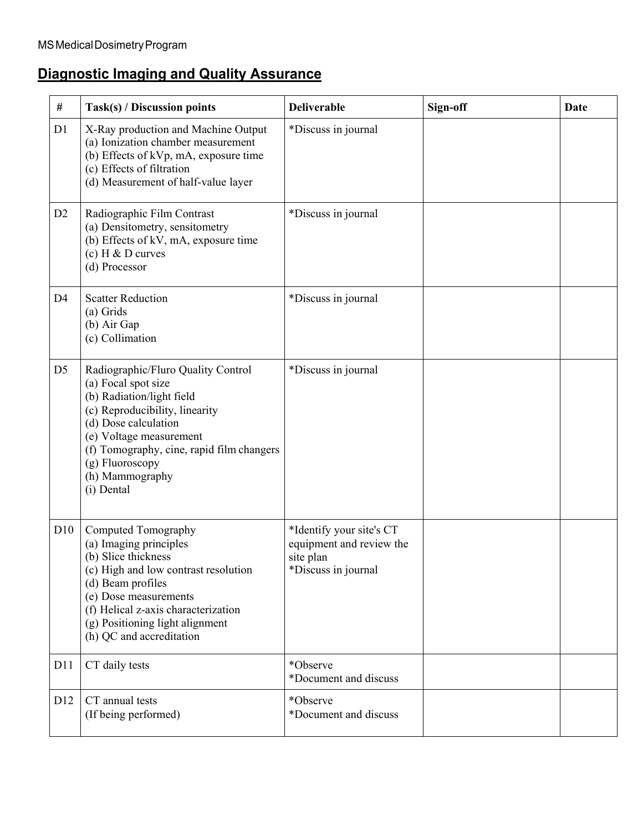# **Diagnostic Imaging and Quality Assurance**

| #              | Task(s) / Discussion points                                                                                                                                                                                                                                                  | <b>Deliverable</b>                                                                       | Sign-off | <b>Date</b> |
|----------------|------------------------------------------------------------------------------------------------------------------------------------------------------------------------------------------------------------------------------------------------------------------------------|------------------------------------------------------------------------------------------|----------|-------------|
| D1             | X-Ray production and Machine Output<br>(a) Ionization chamber measurement<br>(b) Effects of kVp, mA, exposure time<br>(c) Effects of filtration<br>(d) Measurement of half-value layer                                                                                       | *Discuss in journal                                                                      |          |             |
| D <sub>2</sub> | Radiographic Film Contrast<br>(a) Densitometry, sensitometry<br>(b) Effects of kV, mA, exposure time<br>(c) $H \& D$ curves<br>(d) Processor                                                                                                                                 | *Discuss in journal                                                                      |          |             |
| D <sub>4</sub> | <b>Scatter Reduction</b><br>(a) Grids<br>(b) Air Gap<br>(c) Collimation                                                                                                                                                                                                      | *Discuss in journal                                                                      |          |             |
| D <sub>5</sub> | Radiographic/Fluro Quality Control<br>(a) Focal spot size<br>(b) Radiation/light field<br>(c) Reproducibility, linearity<br>(d) Dose calculation<br>(e) Voltage measurement<br>(f) Tomography, cine, rapid film changers<br>(g) Fluoroscopy<br>(h) Mammography<br>(i) Dental | *Discuss in journal                                                                      |          |             |
| D10            | Computed Tomography<br>(a) Imaging principles<br>(b) Slice thickness<br>(c) High and low contrast resolution<br>(d) Beam profiles<br>(e) Dose measurements<br>(f) Helical z-axis characterization<br>(g) Positioning light alignment<br>(h) QC and accreditation             | *Identify your site's CT<br>equipment and review the<br>site plan<br>*Discuss in journal |          |             |
| D11            | CT daily tests                                                                                                                                                                                                                                                               | *Observe<br>*Document and discuss                                                        |          |             |
| D12            | CT annual tests<br>(If being performed)                                                                                                                                                                                                                                      | *Observe<br>*Document and discuss                                                        |          |             |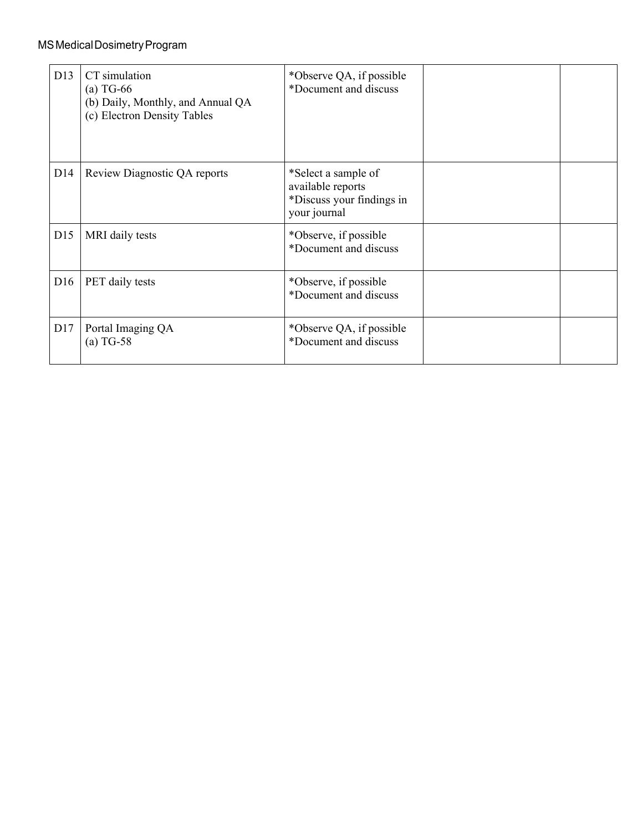| D13 | CT simulation<br>$(a)$ TG-66<br>(b) Daily, Monthly, and Annual QA<br>(c) Electron Density Tables | *Observe QA, if possible<br>*Document and discuss                                     |  |
|-----|--------------------------------------------------------------------------------------------------|---------------------------------------------------------------------------------------|--|
| D14 | Review Diagnostic QA reports                                                                     | *Select a sample of<br>available reports<br>*Discuss your findings in<br>your journal |  |
| D15 | MRI daily tests                                                                                  | *Observe, if possible<br>*Document and discuss                                        |  |
| D16 | PET daily tests                                                                                  | *Observe, if possible<br>*Document and discuss                                        |  |
| D17 | Portal Imaging QA<br>$(a)$ TG-58                                                                 | *Observe QA, if possible<br>*Document and discuss                                     |  |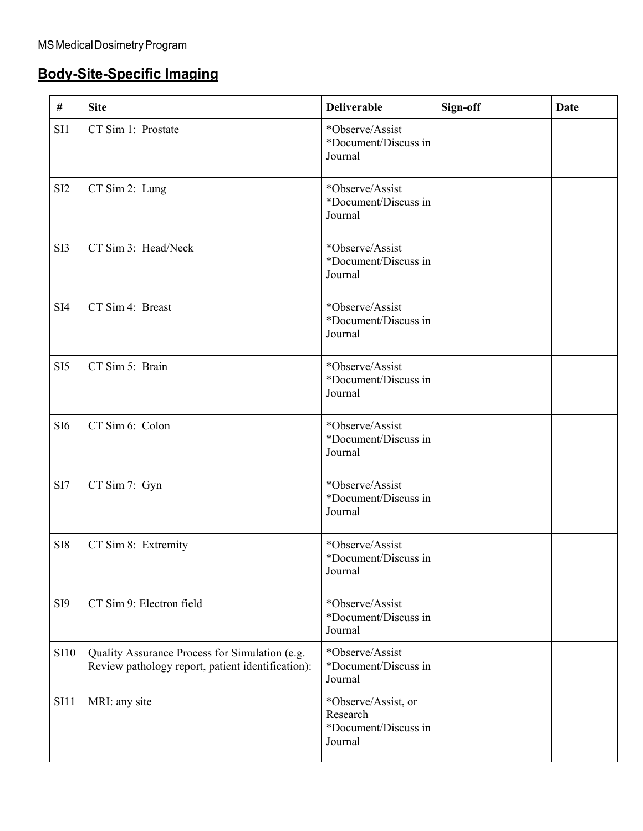# **Body-Site-Specific Imaging**

| #               | <b>Site</b>                                                                                         | <b>Deliverable</b>                                                 | Sign-off | <b>Date</b> |
|-----------------|-----------------------------------------------------------------------------------------------------|--------------------------------------------------------------------|----------|-------------|
| SI1             | CT Sim 1: Prostate                                                                                  | *Observe/Assist<br>*Document/Discuss in<br>Journal                 |          |             |
| SI <sub>2</sub> | CT Sim 2: Lung                                                                                      | *Observe/Assist<br>*Document/Discuss in<br>Journal                 |          |             |
| SI3             | CT Sim 3: Head/Neck                                                                                 | *Observe/Assist<br>*Document/Discuss in<br>Journal                 |          |             |
| SI4             | CT Sim 4: Breast                                                                                    | *Observe/Assist<br>*Document/Discuss in<br>Journal                 |          |             |
| SI <sub>5</sub> | CT Sim 5: Brain                                                                                     | *Observe/Assist<br>*Document/Discuss in<br>Journal                 |          |             |
| SI <sub>6</sub> | CT Sim 6: Colon                                                                                     | *Observe/Assist<br>*Document/Discuss in<br>Journal                 |          |             |
| SI7             | CT Sim 7: Gyn                                                                                       | *Observe/Assist<br>*Document/Discuss in<br>Journal                 |          |             |
| SI <sub>8</sub> | CT Sim 8: Extremity                                                                                 | *Observe/Assist<br>*Document/Discuss in<br>Journal                 |          |             |
| SI <sub>9</sub> | CT Sim 9: Electron field                                                                            | *Observe/Assist<br>*Document/Discuss in<br>Journal                 |          |             |
| <b>SI10</b>     | Quality Assurance Process for Simulation (e.g.<br>Review pathology report, patient identification): | *Observe/Assist<br>*Document/Discuss in<br>Journal                 |          |             |
| <b>SI11</b>     | MRI: any site                                                                                       | *Observe/Assist, or<br>Research<br>*Document/Discuss in<br>Journal |          |             |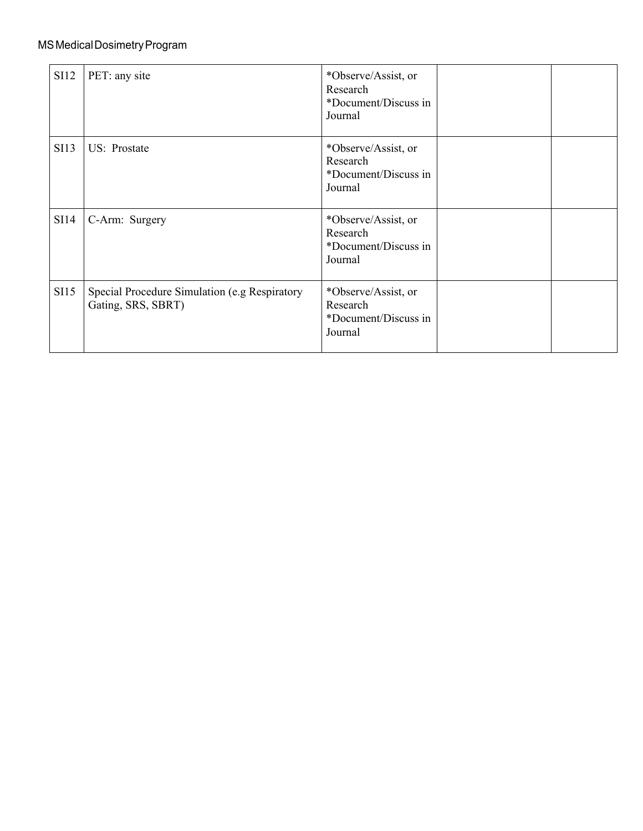| <b>SI12</b> | PET: any site                                                       | *Observe/Assist, or<br>Research<br>*Document/Discuss in<br>Journal |  |
|-------------|---------------------------------------------------------------------|--------------------------------------------------------------------|--|
| <b>SI13</b> | US: Prostate                                                        | *Observe/Assist, or<br>Research<br>*Document/Discuss in<br>Journal |  |
| SI14        | C-Arm: Surgery                                                      | *Observe/Assist, or<br>Research<br>*Document/Discuss in<br>Journal |  |
| SI15        | Special Procedure Simulation (e.g Respiratory<br>Gating, SRS, SBRT) | *Observe/Assist, or<br>Research<br>*Document/Discuss in<br>Journal |  |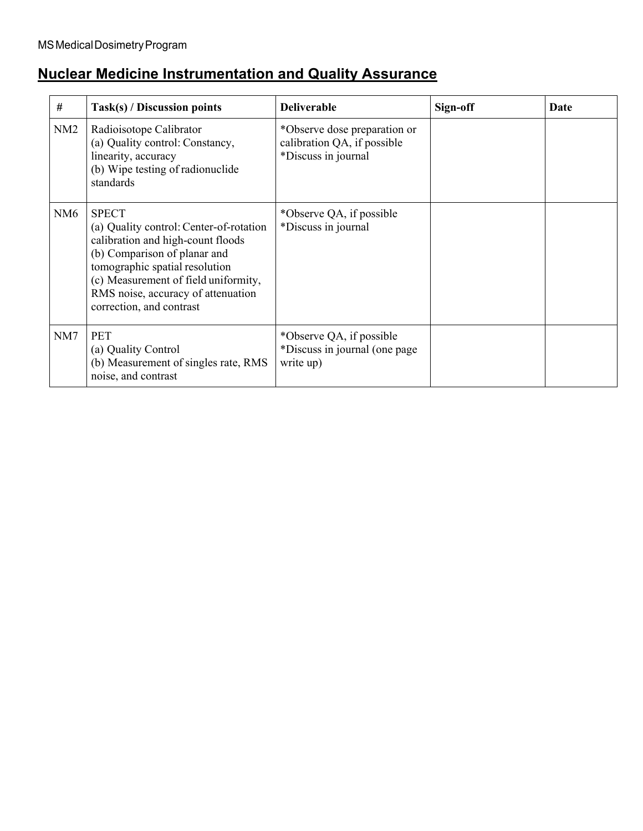# **Nuclear Medicine Instrumentation and Quality Assurance**

| #               | Task(s) / Discussion points                                                                                                                                                                                                                                              | <b>Deliverable</b>                                                                 | Sign-off | Date |
|-----------------|--------------------------------------------------------------------------------------------------------------------------------------------------------------------------------------------------------------------------------------------------------------------------|------------------------------------------------------------------------------------|----------|------|
| NM2             | Radioisotope Calibrator<br>(a) Quality control: Constancy,<br>linearity, accuracy<br>(b) Wipe testing of radionuclide<br>standards                                                                                                                                       | *Observe dose preparation or<br>calibration QA, if possible<br>*Discuss in journal |          |      |
| NM <sub>6</sub> | <b>SPECT</b><br>(a) Quality control: Center-of-rotation<br>calibration and high-count floods<br>(b) Comparison of planar and<br>tomographic spatial resolution<br>(c) Measurement of field uniformity,<br>RMS noise, accuracy of attenuation<br>correction, and contrast | *Observe QA, if possible<br>*Discuss in journal                                    |          |      |
| NM7             | <b>PET</b><br>(a) Quality Control<br>(b) Measurement of singles rate, RMS<br>noise, and contrast                                                                                                                                                                         | *Observe QA, if possible<br>*Discuss in journal (one page<br>write up)             |          |      |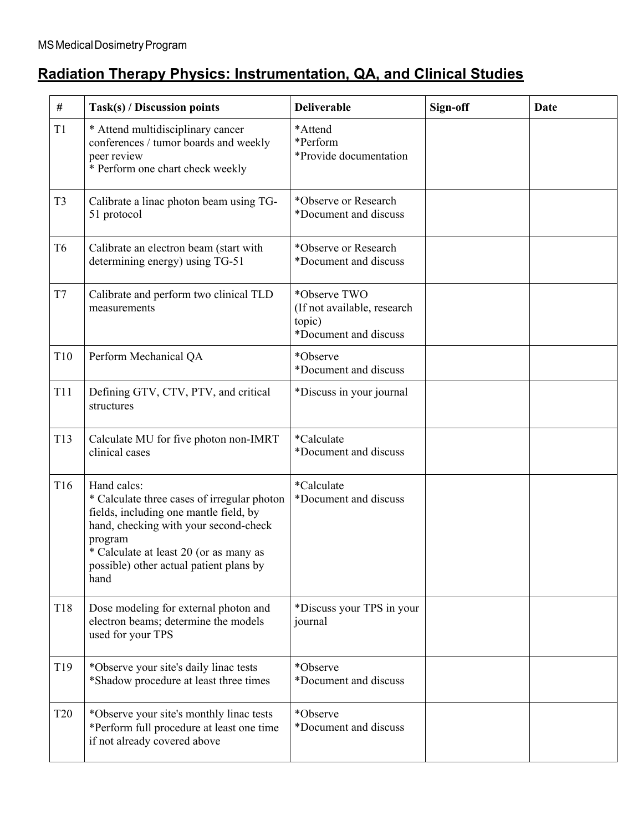# **Radiation Therapy Physics: Instrumentation, QA, and Clinical Studies**

| #               | Task(s) / Discussion points                                                                                                                                                                                                                           | <b>Deliverable</b>                                                             | Sign-off | Date |
|-----------------|-------------------------------------------------------------------------------------------------------------------------------------------------------------------------------------------------------------------------------------------------------|--------------------------------------------------------------------------------|----------|------|
| T1              | * Attend multidisciplinary cancer<br>conferences / tumor boards and weekly<br>peer review<br>* Perform one chart check weekly                                                                                                                         | *Attend<br>*Perform<br>*Provide documentation                                  |          |      |
| T <sub>3</sub>  | Calibrate a linac photon beam using TG-<br>51 protocol                                                                                                                                                                                                | *Observe or Research<br>*Document and discuss                                  |          |      |
| T <sub>6</sub>  | Calibrate an electron beam (start with<br>determining energy) using TG-51                                                                                                                                                                             | *Observe or Research<br>*Document and discuss                                  |          |      |
| T7              | Calibrate and perform two clinical TLD<br>measurements                                                                                                                                                                                                | *Observe TWO<br>(If not available, research<br>topic)<br>*Document and discuss |          |      |
| T10             | Perform Mechanical QA                                                                                                                                                                                                                                 | *Observe<br>*Document and discuss                                              |          |      |
| T11             | Defining GTV, CTV, PTV, and critical<br>structures                                                                                                                                                                                                    | *Discuss in your journal                                                       |          |      |
| T13             | Calculate MU for five photon non-IMRT<br>clinical cases                                                                                                                                                                                               | *Calculate<br>*Document and discuss                                            |          |      |
| T <sub>16</sub> | Hand calcs:<br>* Calculate three cases of irregular photon<br>fields, including one mantle field, by<br>hand, checking with your second-check<br>program<br>* Calculate at least 20 (or as many as<br>possible) other actual patient plans by<br>hand | *Calculate<br>*Document and discuss                                            |          |      |
| T18             | Dose modeling for external photon and<br>electron beams; determine the models<br>used for your TPS                                                                                                                                                    | *Discuss your TPS in your<br>journal                                           |          |      |
| T <sub>19</sub> | *Observe your site's daily linac tests<br>*Shadow procedure at least three times                                                                                                                                                                      | *Observe<br>*Document and discuss                                              |          |      |
| T20             | *Observe your site's monthly linac tests<br>*Perform full procedure at least one time<br>if not already covered above                                                                                                                                 | *Observe<br>*Document and discuss                                              |          |      |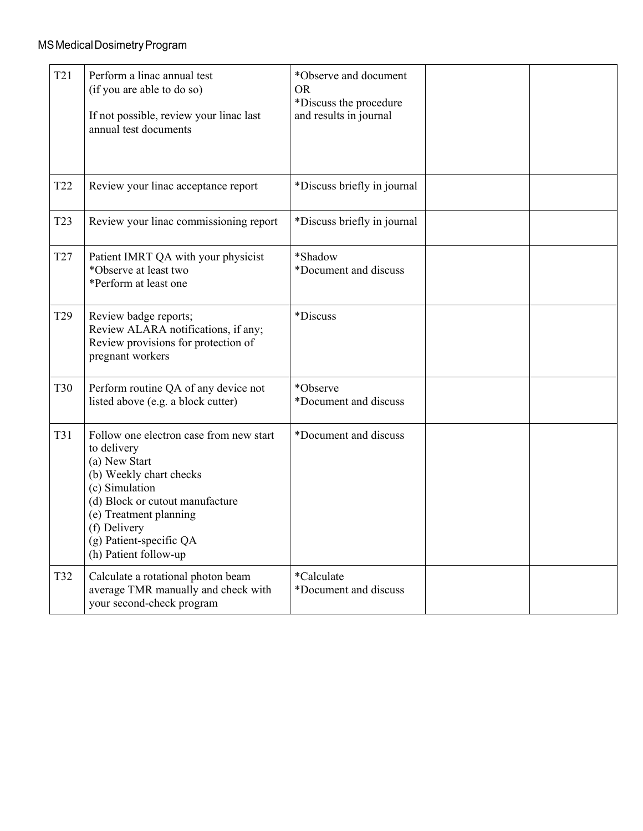| T <sub>21</sub> | Perform a linac annual test<br>(if you are able to do so)<br>If not possible, review your linac last<br>annual test documents                                                                                                                         | *Observe and document<br><b>OR</b><br>*Discuss the procedure<br>and results in journal |  |
|-----------------|-------------------------------------------------------------------------------------------------------------------------------------------------------------------------------------------------------------------------------------------------------|----------------------------------------------------------------------------------------|--|
| T <sub>22</sub> | Review your linac acceptance report                                                                                                                                                                                                                   | *Discuss briefly in journal                                                            |  |
| T <sub>23</sub> | Review your linac commissioning report                                                                                                                                                                                                                | *Discuss briefly in journal                                                            |  |
| T <sub>27</sub> | Patient IMRT QA with your physicist<br>*Observe at least two<br>*Perform at least one                                                                                                                                                                 | *Shadow<br>*Document and discuss                                                       |  |
| T <sub>29</sub> | Review badge reports;<br>Review ALARA notifications, if any;<br>Review provisions for protection of<br>pregnant workers                                                                                                                               | *Discuss                                                                               |  |
| <b>T30</b>      | Perform routine QA of any device not<br>listed above (e.g. a block cutter)                                                                                                                                                                            | *Observe<br>*Document and discuss                                                      |  |
| T31             | Follow one electron case from new start<br>to delivery<br>(a) New Start<br>(b) Weekly chart checks<br>(c) Simulation<br>(d) Block or cutout manufacture<br>(e) Treatment planning<br>(f) Delivery<br>(g) Patient-specific QA<br>(h) Patient follow-up | *Document and discuss                                                                  |  |
| T32             | Calculate a rotational photon beam<br>average TMR manually and check with<br>your second-check program                                                                                                                                                | *Calculate<br>*Document and discuss                                                    |  |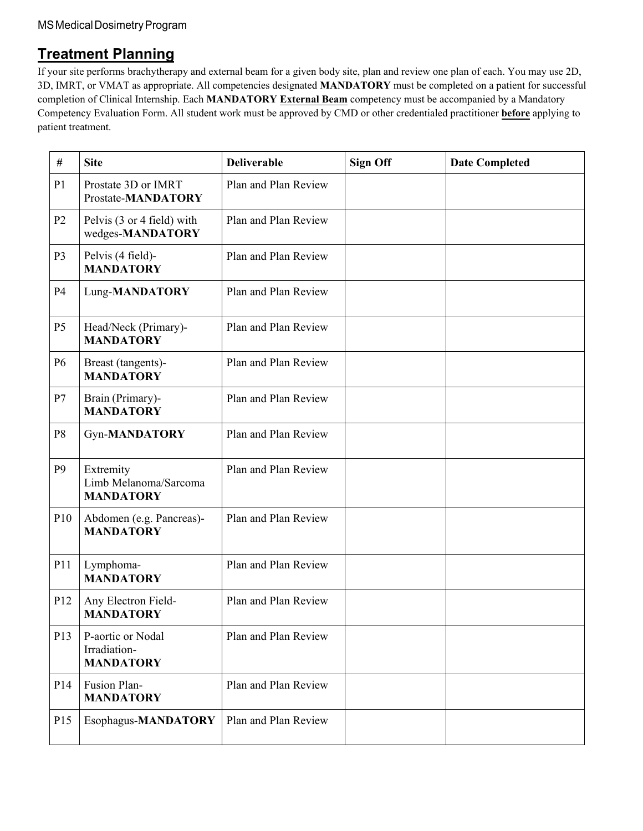### **Treatment Planning**

If your site performs brachytherapy and external beam for a given body site, plan and review one plan of each. You may use 2D, 3D, IMRT, or VMAT as appropriate. All competencies designated **MANDATORY** must be completed on a patient for successful completion of Clinical Internship. Each **MANDATORY External Beam** competency must be accompanied by a Mandatory Competency Evaluation Form. All student work must be approved by CMD or other credentialed practitioner **before** applying to patient treatment.

| #              | <b>Site</b>                                            | <b>Deliverable</b>   | <b>Sign Off</b> | <b>Date Completed</b> |
|----------------|--------------------------------------------------------|----------------------|-----------------|-----------------------|
| P <sub>1</sub> | Prostate 3D or IMRT<br>Prostate-MANDATORY              | Plan and Plan Review |                 |                       |
| P <sub>2</sub> | Pelvis (3 or 4 field) with<br>wedges-MANDATORY         | Plan and Plan Review |                 |                       |
| P <sub>3</sub> | Pelvis (4 field)-<br><b>MANDATORY</b>                  | Plan and Plan Review |                 |                       |
| <b>P4</b>      | Lung-MANDATORY                                         | Plan and Plan Review |                 |                       |
| P <sub>5</sub> | Head/Neck (Primary)-<br><b>MANDATORY</b>               | Plan and Plan Review |                 |                       |
| <b>P6</b>      | Breast (tangents)-<br><b>MANDATORY</b>                 | Plan and Plan Review |                 |                       |
| P7             | Brain (Primary)-<br><b>MANDATORY</b>                   | Plan and Plan Review |                 |                       |
| P <sub>8</sub> | Gyn-MANDATORY                                          | Plan and Plan Review |                 |                       |
| P <sub>9</sub> | Extremity<br>Limb Melanoma/Sarcoma<br><b>MANDATORY</b> | Plan and Plan Review |                 |                       |
| P10            | Abdomen (e.g. Pancreas)-<br><b>MANDATORY</b>           | Plan and Plan Review |                 |                       |
| P11            | Lymphoma-<br><b>MANDATORY</b>                          | Plan and Plan Review |                 |                       |
| P12            | Any Electron Field-<br><b>MANDATORY</b>                | Plan and Plan Review |                 |                       |
| P13            | P-aortic or Nodal<br>Irradiation-<br><b>MANDATORY</b>  | Plan and Plan Review |                 |                       |
| P14            | Fusion Plan-<br><b>MANDATORY</b>                       | Plan and Plan Review |                 |                       |
| P15            | Esophagus-MANDATORY                                    | Plan and Plan Review |                 |                       |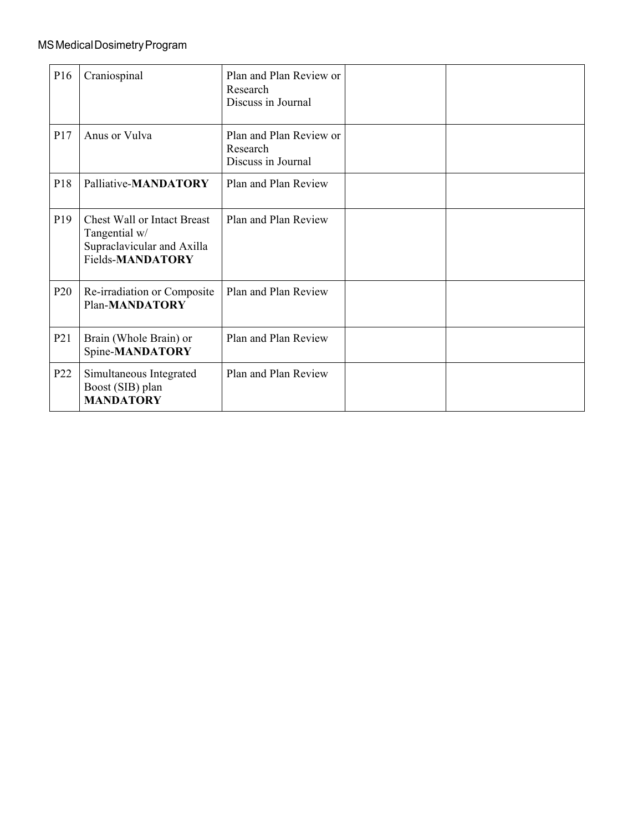| P <sub>16</sub> | Craniospinal                                                                                          | Plan and Plan Review or<br>Research<br>Discuss in Journal |  |
|-----------------|-------------------------------------------------------------------------------------------------------|-----------------------------------------------------------|--|
| P17             | Anus or Vulva                                                                                         | Plan and Plan Review or<br>Research<br>Discuss in Journal |  |
| P18             | Palliative-MANDATORY                                                                                  | Plan and Plan Review                                      |  |
| P <sub>19</sub> | <b>Chest Wall or Intact Breast</b><br>Tangential w/<br>Supraclavicular and Axilla<br>Fields-MANDATORY | Plan and Plan Review                                      |  |
| P <sub>20</sub> | Re-irradiation or Composite<br>Plan-MANDATORY                                                         | Plan and Plan Review                                      |  |
| P <sub>21</sub> | Brain (Whole Brain) or<br>Spine-MANDATORY                                                             | Plan and Plan Review                                      |  |
| P <sub>22</sub> | Simultaneous Integrated<br>Boost (SIB) plan<br><b>MANDATORY</b>                                       | Plan and Plan Review                                      |  |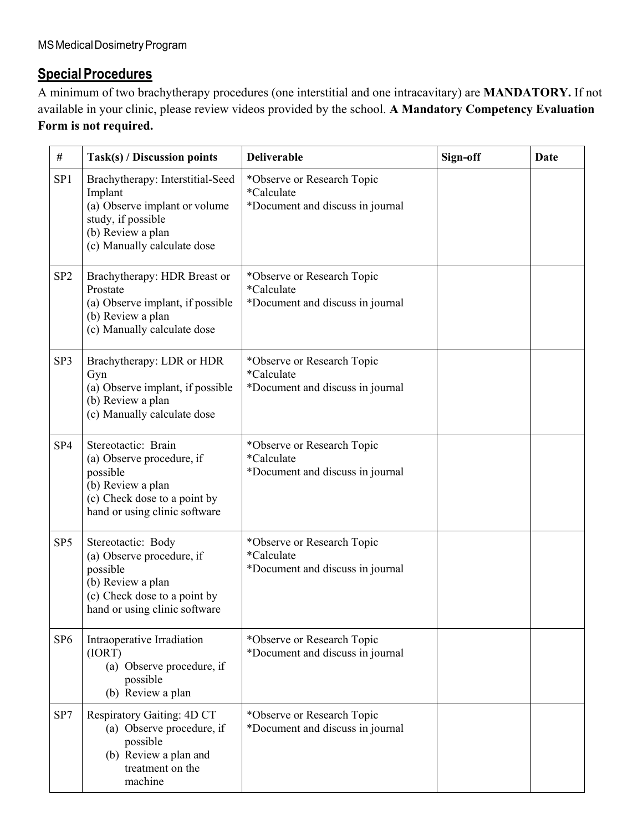### **Special Procedures**

A minimum of two brachytherapy procedures (one interstitial and one intracavitary) are **MANDATORY.** If not available in your clinic, please review videos provided by the school. **A Mandatory Competency Evaluation Form is not required.**

| #               | Task(s) / Discussion points                                                                                                                            | <b>Deliverable</b>                                                           | Sign-off | <b>Date</b> |
|-----------------|--------------------------------------------------------------------------------------------------------------------------------------------------------|------------------------------------------------------------------------------|----------|-------------|
| SP <sub>1</sub> | Brachytherapy: Interstitial-Seed<br>Implant<br>(a) Observe implant or volume<br>study, if possible<br>(b) Review a plan<br>(c) Manually calculate dose | *Observe or Research Topic<br>*Calculate<br>*Document and discuss in journal |          |             |
| SP <sub>2</sub> | Brachytherapy: HDR Breast or<br>Prostate<br>(a) Observe implant, if possible<br>(b) Review a plan<br>(c) Manually calculate dose                       | *Observe or Research Topic<br>*Calculate<br>*Document and discuss in journal |          |             |
| SP3             | Brachytherapy: LDR or HDR<br>Gyn<br>(a) Observe implant, if possible<br>(b) Review a plan<br>(c) Manually calculate dose                               | *Observe or Research Topic<br>*Calculate<br>*Document and discuss in journal |          |             |
| SP <sub>4</sub> | Stereotactic: Brain<br>(a) Observe procedure, if<br>possible<br>(b) Review a plan<br>(c) Check dose to a point by<br>hand or using clinic software     | *Observe or Research Topic<br>*Calculate<br>*Document and discuss in journal |          |             |
| SP <sub>5</sub> | Stereotactic: Body<br>(a) Observe procedure, if<br>possible<br>(b) Review a plan<br>(c) Check dose to a point by<br>hand or using clinic software      | *Observe or Research Topic<br>*Calculate<br>*Document and discuss in journal |          |             |
| SP <sub>6</sub> | Intraoperative Irradiation<br>(IORT)<br>(a) Observe procedure, if<br>possible<br>(b) Review a plan                                                     | *Observe or Research Topic<br>*Document and discuss in journal               |          |             |
| SP7             | Respiratory Gaiting: 4D CT<br>(a) Observe procedure, if<br>possible<br>(b) Review a plan and<br>treatment on the<br>machine                            | *Observe or Research Topic<br>*Document and discuss in journal               |          |             |